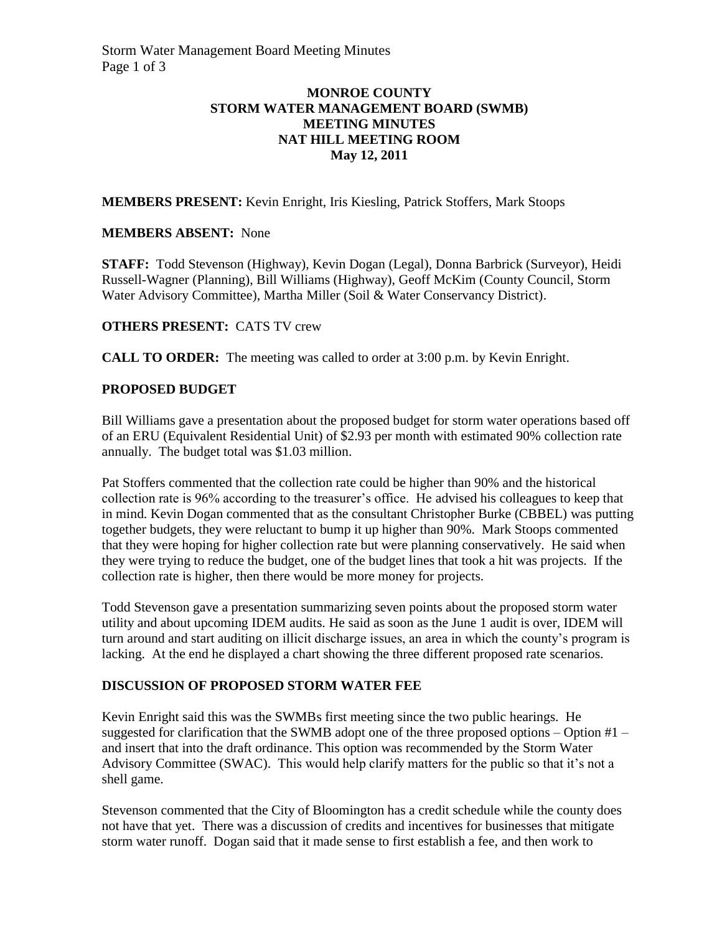# **MONROE COUNTY STORM WATER MANAGEMENT BOARD (SWMB) MEETING MINUTES NAT HILL MEETING ROOM May 12, 2011**

**MEMBERS PRESENT:** Kevin Enright, Iris Kiesling, Patrick Stoffers, Mark Stoops

# **MEMBERS ABSENT:** None

**STAFF:** Todd Stevenson (Highway), Kevin Dogan (Legal), Donna Barbrick (Surveyor), Heidi Russell-Wagner (Planning), Bill Williams (Highway), Geoff McKim (County Council, Storm Water Advisory Committee), Martha Miller (Soil & Water Conservancy District).

# **OTHERS PRESENT:** CATS TV crew

**CALL TO ORDER:** The meeting was called to order at 3:00 p.m. by Kevin Enright.

# **PROPOSED BUDGET**

Bill Williams gave a presentation about the proposed budget for storm water operations based off of an ERU (Equivalent Residential Unit) of \$2.93 per month with estimated 90% collection rate annually. The budget total was \$1.03 million.

Pat Stoffers commented that the collection rate could be higher than 90% and the historical collection rate is 96% according to the treasurer's office. He advised his colleagues to keep that in mind. Kevin Dogan commented that as the consultant Christopher Burke (CBBEL) was putting together budgets, they were reluctant to bump it up higher than 90%. Mark Stoops commented that they were hoping for higher collection rate but were planning conservatively. He said when they were trying to reduce the budget, one of the budget lines that took a hit was projects. If the collection rate is higher, then there would be more money for projects.

Todd Stevenson gave a presentation summarizing seven points about the proposed storm water utility and about upcoming IDEM audits. He said as soon as the June 1 audit is over, IDEM will turn around and start auditing on illicit discharge issues, an area in which the county's program is lacking. At the end he displayed a chart showing the three different proposed rate scenarios.

### **DISCUSSION OF PROPOSED STORM WATER FEE**

Kevin Enright said this was the SWMBs first meeting since the two public hearings. He suggested for clarification that the SWMB adopt one of the three proposed options – Option #1 – and insert that into the draft ordinance. This option was recommended by the Storm Water Advisory Committee (SWAC). This would help clarify matters for the public so that it's not a shell game.

Stevenson commented that the City of Bloomington has a credit schedule while the county does not have that yet. There was a discussion of credits and incentives for businesses that mitigate storm water runoff. Dogan said that it made sense to first establish a fee, and then work to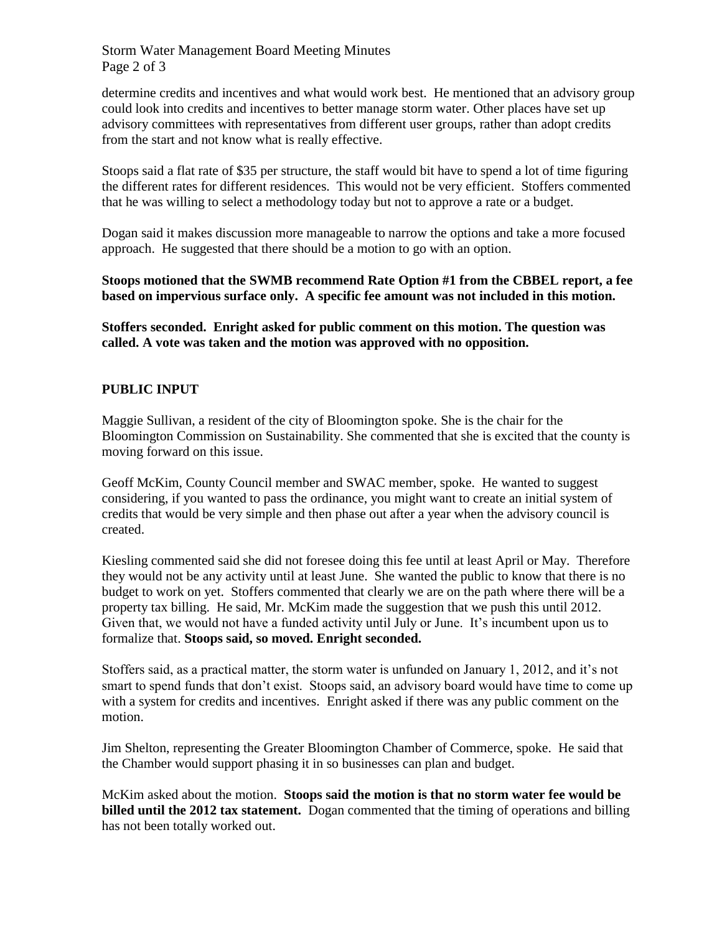Storm Water Management Board Meeting Minutes Page 2 of 3

determine credits and incentives and what would work best. He mentioned that an advisory group could look into credits and incentives to better manage storm water. Other places have set up advisory committees with representatives from different user groups, rather than adopt credits from the start and not know what is really effective.

Stoops said a flat rate of \$35 per structure, the staff would bit have to spend a lot of time figuring the different rates for different residences. This would not be very efficient. Stoffers commented that he was willing to select a methodology today but not to approve a rate or a budget.

Dogan said it makes discussion more manageable to narrow the options and take a more focused approach. He suggested that there should be a motion to go with an option.

**Stoops motioned that the SWMB recommend Rate Option #1 from the CBBEL report, a fee based on impervious surface only. A specific fee amount was not included in this motion.**

**Stoffers seconded. Enright asked for public comment on this motion. The question was called. A vote was taken and the motion was approved with no opposition.**

### **PUBLIC INPUT**

Maggie Sullivan, a resident of the city of Bloomington spoke. She is the chair for the Bloomington Commission on Sustainability. She commented that she is excited that the county is moving forward on this issue.

Geoff McKim, County Council member and SWAC member, spoke. He wanted to suggest considering, if you wanted to pass the ordinance, you might want to create an initial system of credits that would be very simple and then phase out after a year when the advisory council is created.

Kiesling commented said she did not foresee doing this fee until at least April or May. Therefore they would not be any activity until at least June. She wanted the public to know that there is no budget to work on yet. Stoffers commented that clearly we are on the path where there will be a property tax billing. He said, Mr. McKim made the suggestion that we push this until 2012. Given that, we would not have a funded activity until July or June. It's incumbent upon us to formalize that. **Stoops said, so moved. Enright seconded.**

Stoffers said, as a practical matter, the storm water is unfunded on January 1, 2012, and it's not smart to spend funds that don't exist. Stoops said, an advisory board would have time to come up with a system for credits and incentives. Enright asked if there was any public comment on the motion.

Jim Shelton, representing the Greater Bloomington Chamber of Commerce, spoke. He said that the Chamber would support phasing it in so businesses can plan and budget.

McKim asked about the motion. **Stoops said the motion is that no storm water fee would be billed until the 2012 tax statement.** Dogan commented that the timing of operations and billing has not been totally worked out.